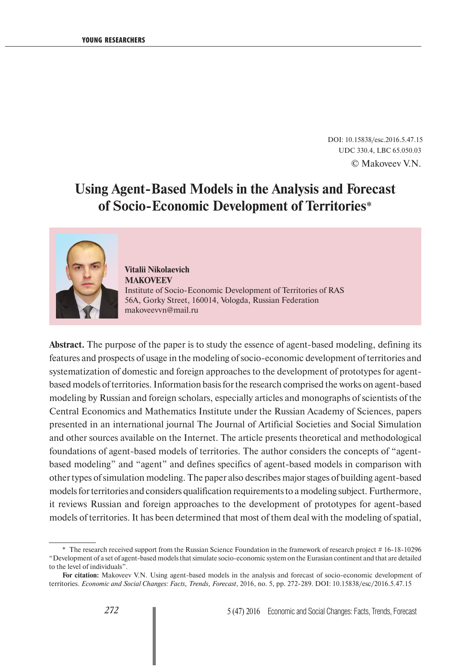DOI: 10.15838/esc.2016.5.47.15 UDC 330.4, LBC 65.050.03 © Makoveev V.N.

# **Using Agent-Based Models in the Analysis and Forecast of Socio-Economic Development of Territories**\*



## **Vitalii Nikolaevich MAKOVEEV**  Institute of Socio-Economic Development of Territories of RAS 56A, Gorky Street, 160014, Vologda, Russian Federation makoveevvn@mail.ru

**Abstract.** The purpose of the paper is to study the essence of agent-based modeling, defining its features and prospects of usage in the modeling of socio-economic development of territories and systematization of domestic and foreign approaches to the development of prototypes for agentbased models of territories. Information basis for the research comprised the works on agent-based modeling by Russian and foreign scholars, especially articles and monographs of scientists of the Central Economics and Mathematics Institute under the Russian Academy of Sciences, papers presented in an international journal The Journal of Artificial Societies and Social Simulation and other sources available on the Internet. The article presents theoretical and methodological foundations of agent-based models of territories. The author considers the concepts of "agentbased modeling" and "agent" and defines specifics of agent-based models in comparison with other types of simulation modeling. The paper also describes major stages of building agent-based models for territories and considers qualification requirements to a modeling subject. Furthermore, it reviews Russian and foreign approaches to the development of prototypes for agent-based models of territories. It has been determined that most of them deal with the modeling of spatial,

<sup>\*</sup> The research received support from the Russian Science Foundation in the framework of research project # 16-18-10296 "Development of a set of agent-based models that simulate socio-economic system on the Eurasian continent and that are detailed to the level of individuals".

**For citation:** Makoveev V.N. Using agent-based models in the analysis and forecast of socio-economic development of territories. *Economic and Social Changes: Facts, Trends, Forecast*, 2016, no. 5, pp. 272-289. DOI: 10.15838/esc/2016.5.47.15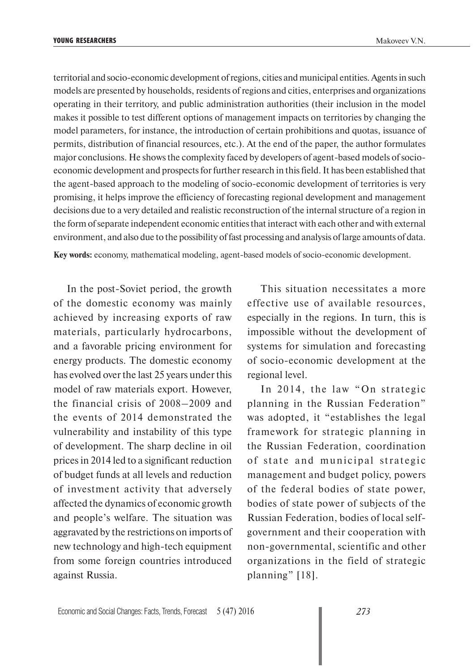territorial and socio-economic development of regions, cities and municipal entities. Agents in such models are presented by households, residents of regions and cities, enterprises and organizations operating in their territory, and public administration authorities (their inclusion in the model makes it possible to test different options of management impacts on territories by changing the model parameters, for instance, the introduction of certain prohibitions and quotas, issuance of permits, distribution of financial resources, etc.). At the end of the paper, the author formulates major conclusions. He shows the complexity faced by developers of agent-based models of socioeconomic development and prospects for further research in this field. It has been established that the agent-based approach to the modeling of socio-economic development of territories is very promising, it helps improve the efficiency of forecasting regional development and management decisions due to a very detailed and realistic reconstruction of the internal structure of a region in the form of separate independent economic entities that interact with each other and with external environment, and also due to the possibility of fast processing and analysis of large amounts of data.

**Key words:** economy, mathematical modeling, agent-based models of socio-economic development.

In the post-Soviet period, the growth of the domestic economy was mainly achieved by increasing exports of raw materials, particularly hydrocarbons, and a favorable pricing environment for energy products. The domestic economy has evolved over the last 25 years under this model of raw materials export. However, the financial crisis of 2008–2009 and the events of 2014 demonstrated the vulnerability and instability of this type of development. The sharp decline in oil prices in 2014 led to a significant reduction of budget funds at all levels and reduction of investment activity that adversely affected the dynamics of economic growth and people's welfare. The situation was aggravated by the restrictions on imports of new technology and high-tech equipment from some foreign countries introduced against Russia.

This situation necessitates a more effective use of available resources, especially in the regions. In turn, this is impossible without the development of systems for simulation and forecasting of socio-economic development at the regional level.

In 2014, the law "On strategic planning in the Russian Federation" was adopted, it "establishes the legal framework for strategic planning in the Russian Federation, coordination of state and municipal strategic management and budget policy, powers of the federal bodies of state power, bodies of state power of subjects of the Russian Federation, bodies of local selfgovernment and their cooperation with non-governmental, scientific and other organizations in the field of strategic planning" [18].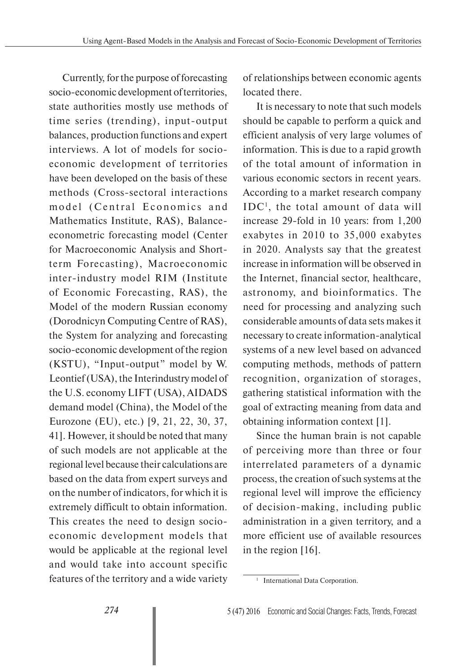Currently, for the purpose of forecasting socio-economic development of territories, state authorities mostly use methods of time series (trending), input-output balances, production functions and expert interviews. A lot of models for socioeconomic development of territories have been developed on the basis of these methods (Cross-sectoral interactions model (Central Economics and Mathematics Institute, RAS), Balanceeconometric forecasting model (Center for Macroeconomic Analysis and Shortterm Forecasting), Macroeconomic inter-industry model RIM (Institute of Economic Forecasting, RAS), the Model of the modern Russian economy (Dorodnicyn Computing Centre of RAS), the System for analyzing and forecasting socio-economic development of the region (KSTU), "Input-output" model by W. Leontief (USA), the Interindustry model of the U.S. economy LIFT (USA), AIDADS demand model (China), the Model of the Eurozone (EU), etc.) [9, 21, 22, 30, 37, 41]. However, it should be noted that many of such models are not applicable at the regional level because their calculations are based on the data from expert surveys and on the number of indicators, for which it is extremely difficult to obtain information. This creates the need to design socioeconomic development models that would be applicable at the regional level and would take into account specific features of the territory and a wide variety

of relationships between economic agents located there.

It is necessary to note that such models should be capable to perform a quick and efficient analysis of very large volumes of information. This is due to a rapid growth of the total amount of information in various economic sectors in recent years. According to a market research company IDC1 , the total amount of data will increase 29-fold in 10 years: from 1,200 exabytes in 2010 to 35,000 exabytes in 2020. Analysts say that the greatest increase in information will be observed in the Internet, financial sector, healthcare, astronomy, and bioinformatics. The need for processing and analyzing such considerable amounts of data sets makes it necessary to create information-analytical systems of a new level based on advanced computing methods, methods of pattern recognition, organization of storages, gathering statistical information with the goal of extracting meaning from data and obtaining information context [1].

Since the human brain is not capable of perceiving more than three or four interrelated parameters of a dynamic process, the creation of such systems at the regional level will improve the efficiency of decision-making, including public administration in a given territory, and a more efficient use of available resources in the region [16].

<sup>&</sup>lt;sup>1</sup> International Data Corporation.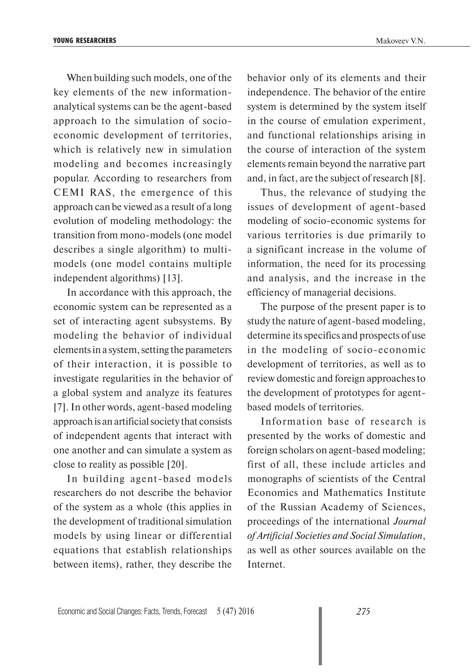When building such models, one of the key elements of the new informationanalytical systems can be the agent-based approach to the simulation of socioeconomic development of territories, which is relatively new in simulation modeling and becomes increasingly popular. According to researchers from CEMI RAS, the emergence of this approach can be viewed as a result of a long evolution of modeling methodology: the transition from mono-models (one model describes a single algorithm) to multi-

In accordance with this approach, the economic system can be represented as a set of interacting agent subsystems. By modeling the behavior of individual elements in a system, setting the parameters of their interaction, it is possible to investigate regularities in the behavior of a global system and analyze its features [7]. In other words, agent-based modeling approach is an artificial society that consists of independent agents that interact with one another and can simulate a system as close to reality as possible [20].

models (one model contains multiple

independent algorithms) [13].

In building agent-based models researchers do not describe the behavior of the system as a whole (this applies in the development of traditional simulation models by using linear or differential equations that establish relationships between items), rather, they describe the

behavior only of its elements and their independence. The behavior of the entire system is determined by the system itself in the course of emulation experiment, and functional relationships arising in the course of interaction of the system elements remain beyond the narrative part and, in fact, are the subject of research [8].

Thus, the relevance of studying the issues of development of agent-based modeling of socio-economic systems for various territories is due primarily to a significant increase in the volume of information, the need for its processing and analysis, and the increase in the efficiency of managerial decisions.

The purpose of the present paper is to study the nature of agent-based modeling, determine its specifics and prospects of use in the modeling of socio-economic development of territories, as well as to review domestic and foreign approaches to the development of prototypes for agentbased models of territories.

Information base of research is presented by the works of domestic and foreign scholars on agent-based modeling; first of all, these include articles and monographs of scientists of the Central Economics and Mathematics Institute of the Russian Academy of Sciences, proceedings of the international *Journal of Artificial Societies and Social Simulation*, as well as other sources available on the Internet.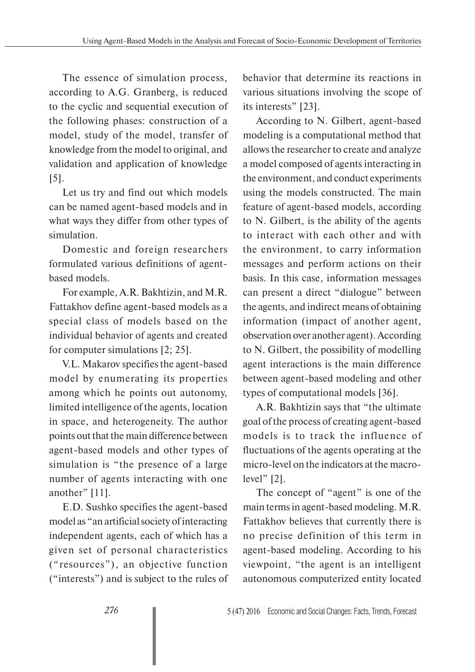The essence of simulation process, according to A.G. Granberg, is reduced to the cyclic and sequential execution of the following phases: construction of a model, study of the model, transfer of knowledge from the model to original, and validation and application of knowledge [5].

Let us try and find out which models can be named agent-based models and in what ways they differ from other types of simulation.

Domestic and foreign researchers formulated various definitions of agentbased models.

For example, A.R. Bakhtizin, and M.R. Fattakhov define agent-based models as a special class of models based on the individual behavior of agents and created for computer simulations [2; 25].

V.L. Makarov specifies the agent-based model by enumerating its properties among which he points out autonomy, limited intelligence of the agents, location in space, and heterogeneity. The author points out that the main difference between agent-based models and other types of simulation is "the presence of a large number of agents interacting with one another" [11].

E.D. Sushko specifies the agent-based model as "an artificial society of interacting independent agents, each of which has a given set of personal characteristics ("resources"), an objective function ("interests") and is subject to the rules of behavior that determine its reactions in various situations involving the scope of its interests" [23].

According to N. Gilbert, agent-based modeling is a computational method that allows the researcher to create and analyze a model composed of agents interacting in the environment, and conduct experiments using the models constructed. The main feature of agent-based models, according to N. Gilbert, is the ability of the agents to interact with each other and with the environment, to carry information messages and perform actions on their basis. In this case, information messages can present a direct "dialogue" between the agents, and indirect means of obtaining information (impact of another agent, observation over another agent). According to N. Gilbert, the possibility of modelling agent interactions is the main difference between agent-based modeling and other types of computational models [36].

A.R. Bakhtizin says that "the ultimate goal of the process of creating agent-based models is to track the influence of fluctuations of the agents operating at the micro-level on the indicators at the macrolevel" [2].

The concept of "agent" is one of the main terms in agent-based modeling. M.R. Fattakhov believes that currently there is no precise definition of this term in agent-based modeling. According to his viewpoint, "the agent is an intelligent autonomous computerized entity located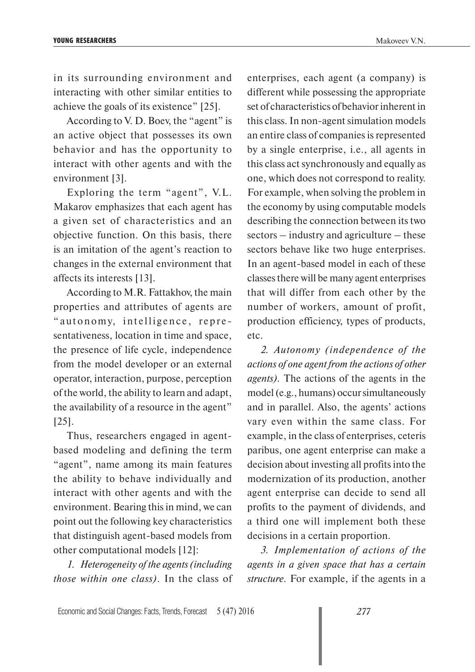in its surrounding environment and interacting with other similar entities to achieve the goals of its existence" [25].

According to V. D. Boev, the "agent" is an active object that possesses its own behavior and has the opportunity to interact with other agents and with the environment [3].

Exploring the term "agent", V.L. Makarov emphasizes that each agent has a given set of characteristics and an objective function. On this basis, there is an imitation of the agent's reaction to changes in the external environment that affects its interests [13].

According to M.R. Fattakhov, the main properties and attributes of agents are " autonomy, intelligence, representativeness, location in time and space, the presence of life cycle, independence from the model developer or an external operator, interaction, purpose, perception of the world, the ability to learn and adapt, the availability of a resource in the agent" [25].

Thus, researchers engaged in agentbased modeling and defining the term "agent", name among its main features the ability to behave individually and interact with other agents and with the environment. Bearing this in mind, we can point out the following key characteristics that distinguish agent-based models from other computational models [12]:

*1. Heterogeneity of the agents (including those within one class)*. In the class of enterprises, each agent (a company) is different while possessing the appropriate set of characteristics of behavior inherent in this class. In non-agent simulation models an entire class of companies is represented by a single enterprise, i.e., all agents in this class act synchronously and equally as one, which does not correspond to reality. For example, when solving the problem in the economy by using computable models describing the connection between its two sectors – industry and agriculture – these sectors behave like two huge enterprises. In an agent-based model in each of these classes there will be many agent enterprises that will differ from each other by the number of workers, amount of profit, production efficiency, types of products, etc.

*2. Autonomy (independence of the actions of one agent from the actions of other agents).* The actions of the agents in the model (e.g., humans) occur simultaneously and in parallel. Also, the agents' actions vary even within the same class. For example, in the class of enterprises, ceteris paribus, one agent enterprise can make a decision about investing all profits into the modernization of its production, another agent enterprise can decide to send all profits to the payment of dividends, and a third one will implement both these decisions in a certain proportion.

*3. Implementation of actions of the agents in a given space that has a certain structure.* For example, if the agents in a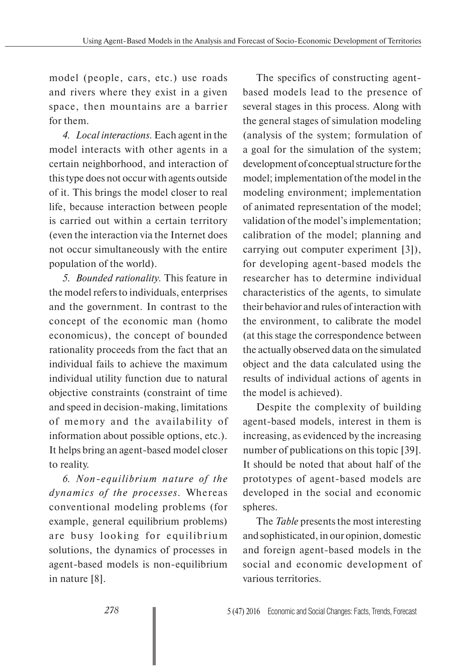model (people, cars, etc.) use roads and rivers where they exist in a given space, then mountains are a barrier for them.

*4. Local interactions.* Each agent in the model interacts with other agents in a certain neighborhood, and interaction of this type does not occur with agents outside of it. This brings the model closer to real life, because interaction between people is carried out within a certain territory (even the interaction via the Internet does not occur simultaneously with the entire population of the world).

*5. Bounded rationality.* This feature in the model refers to individuals, enterprises and the government. In contrast to the concept of the economic man (homo economicus), the concept of bounded rationality proceeds from the fact that an individual fails to achieve the maximum individual utility function due to natural objective constraints (constraint of time and speed in decision-making, limitations of memory and the availability of information about possible options, etc.). It helps bring an agent-based model closer to reality.

*6. Non-equilibrium nature of the dynamics of the processes.* Whereas conventional modeling problems (for example, general equilibrium problems) are busy looking for equilibrium solutions, the dynamics of processes in agent-based models is non-equilibrium in nature [8].

The specifics of constructing agentbased models lead to the presence of several stages in this process. Along with the general stages of simulation modeling (analysis of the system; formulation of a goal for the simulation of the system; development of conceptual structure for the model; implementation of the model in the modeling environment; implementation of animated representation of the model; validation of the model's implementation; calibration of the model; planning and carrying out computer experiment [3]), for developing agent-based models the researcher has to determine individual characteristics of the agents, to simulate their behavior and rules of interaction with the environment, to calibrate the model (at this stage the correspondence between the actually observed data on the simulated object and the data calculated using the results of individual actions of agents in the model is achieved).

Despite the complexity of building agent-based models, interest in them is increasing, as evidenced by the increasing number of publications on this topic [39]. It should be noted that about half of the prototypes of agent-based models are developed in the social and economic spheres.

The *Table* presents the most interesting and sophisticated, in our opinion, domestic and foreign agent-based models in the social and economic development of various territories.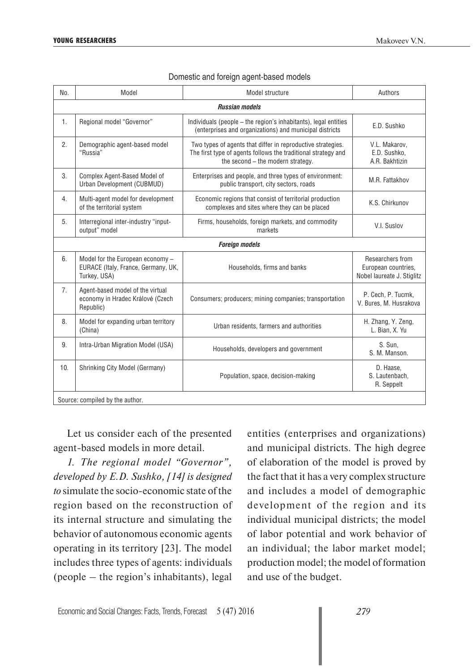| No.                             | Model                                                                                   | Model structure                                                                                                                                                   | Authors                                                               |
|---------------------------------|-----------------------------------------------------------------------------------------|-------------------------------------------------------------------------------------------------------------------------------------------------------------------|-----------------------------------------------------------------------|
| <b>Russian models</b>           |                                                                                         |                                                                                                                                                                   |                                                                       |
| 1.                              | Regional model "Governor"                                                               | Individuals (people - the region's inhabitants), legal entities<br>(enterprises and organizations) and municipal districts                                        | E.D. Sushko                                                           |
| 2.                              | Demographic agent-based model<br>"Russia"                                               | Two types of agents that differ in reproductive strategies.<br>The first type of agents follows the traditional strategy and<br>the second - the modern strategy. | V.L. Makarov.<br>E.D. Sushko,<br>A.R. Bakhtizin                       |
| 3.                              | Complex Agent-Based Model of<br>Urban Development (CUBMUD)                              | Enterprises and people, and three types of environment:<br>public transport, city sectors, roads                                                                  | M.R. Fattakhov                                                        |
| $\overline{4}$ .                | Multi-agent model for development<br>of the territorial system                          | Economic regions that consist of territorial production<br>complexes and sites where they can be placed                                                           | K.S. Chirkunov                                                        |
| 5.                              | Interregional inter-industry "input-<br>output" model                                   | Firms, households, foreign markets, and commodity<br>markets                                                                                                      | V.I. Suslov                                                           |
| <b>Foreign models</b>           |                                                                                         |                                                                                                                                                                   |                                                                       |
| 6.                              | Model for the European economy -<br>EURACE (Italy, France, Germany, UK,<br>Turkey, USA) | Households, firms and banks                                                                                                                                       | Researchers from<br>European countries,<br>Nobel laureate J. Stiglitz |
| 7.                              | Agent-based model of the virtual<br>economy in Hradec Králové (Czech<br>Republic)       | Consumers; producers; mining companies; transportation                                                                                                            | P. Cech, P. Tucmk,<br>V. Bures, M. Husrakova                          |
| 8.                              | Model for expanding urban territory<br>(China)                                          | Urban residents, farmers and authorities                                                                                                                          | H. Zhang, Y. Zeng,<br>L. Bian, X. Yu                                  |
| 9.                              | Intra-Urban Migration Model (USA)                                                       | Households, developers and government                                                                                                                             | S. Sun.<br>S. M. Manson.                                              |
| 10.                             | Shrinking City Model (Germany)                                                          | Population, space, decision-making                                                                                                                                | D. Haase,<br>S. Lautenbach,<br>R. Seppelt                             |
| Source: compiled by the author. |                                                                                         |                                                                                                                                                                   |                                                                       |

#### Domestic and foreign agent-based models

Let us consider each of the presented agent-based models in more detail.

*1. The regional model "Governor", developed by E.D. Sushko, [14] is designed to* simulate the socio-economic state of the region based on the reconstruction of its internal structure and simulating the behavior of autonomous economic agents operating in its territory [23]. The model includes three types of agents: individuals (people – the region's inhabitants), legal

entities (enterprises and organizations) and municipal districts. The high degree of elaboration of the model is proved by the fact that it has a very complex structure and includes a model of demographic development of the region and its individual municipal districts; the model of labor potential and work behavior of an individual; the labor market model; production model; the model of formation and use of the budget.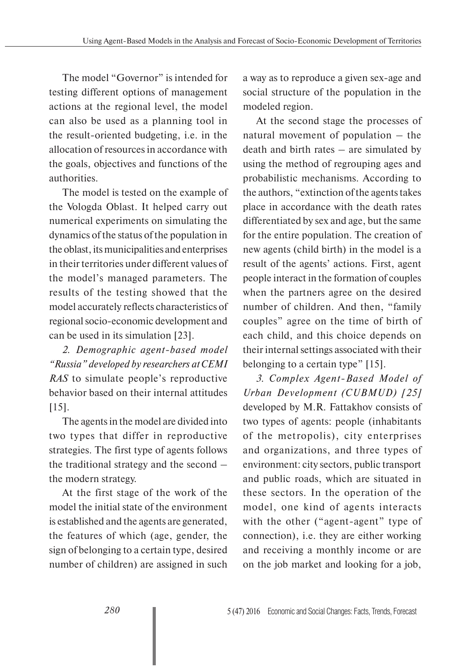The model "Governor" is intended for testing different options of management actions at the regional level, the model can also be used as a planning tool in the result-oriented budgeting, i.e. in the allocation of resources in accordance with the goals, objectives and functions of the authorities.

The model is tested on the example of the Vologda Oblast. It helped carry out numerical experiments on simulating the dynamics of the status of the population in the oblast, its municipalities and enterprises in their territories under different values of the model's managed parameters. The results of the testing showed that the model accurately reflects characteristics of regional socio-economic development and can be used in its simulation [23].

*2. Demographic agent-based model "Russia" developed by researchers at CEMI RAS* to simulate people's reproductive behavior based on their internal attitudes [15].

The agents in the model are divided into two types that differ in reproductive strategies. The first type of agents follows the traditional strategy and the second – the modern strategy.

At the first stage of the work of the model the initial state of the environment is established and the agents are generated, the features of which (age, gender, the sign of belonging to a certain type, desired number of children) are assigned in such

a way as to reproduce a given sex-age and social structure of the population in the modeled region.

At the second stage the processes of natural movement of population – the death and birth rates – are simulated by using the method of regrouping ages and probabilistic mechanisms. According to the authors, "extinction of the agents takes place in accordance with the death rates differentiated by sex and age, but the same for the entire population. The creation of new agents (child birth) in the model is a result of the agents' actions. First, agent people interact in the formation of couples when the partners agree on the desired number of children. And then, "family couples" agree on the time of birth of each child, and this choice depends on their internal settings associated with their belonging to a certain type" [15].

*3. Complex Agent-Based Model of Urban Development (CUBMUD) [25]* developed by M.R. Fattakhov consists of two types of agents: people (inhabitants of the metropolis), city enterprises and organizations, and three types of environment: city sectors, public transport and public roads, which are situated in these sectors. In the operation of the model, one kind of agents interacts with the other ("agent-agent" type of connection), i.e. they are either working and receiving a monthly income or are on the job market and looking for a job,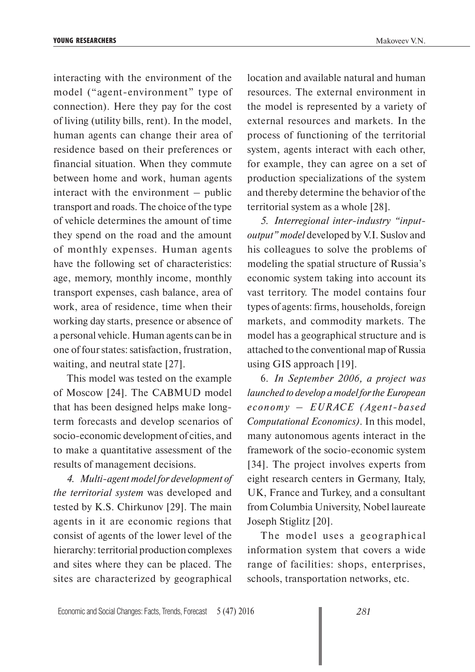interacting with the environment of the model ("agent-environment" type of connection). Here they pay for the cost of living (utility bills, rent). In the model, human agents can change their area of residence based on their preferences or financial situation. When they commute between home and work, human agents interact with the environment – public transport and roads. The choice of the type of vehicle determines the amount of time they spend on the road and the amount of monthly expenses. Human agents have the following set of characteristics: age, memory, monthly income, monthly transport expenses, cash balance, area of work, area of residence, time when their working day starts, presence or absence of a personal vehicle. Human agents can be in one of four states: satisfaction, frustration, waiting, and neutral state [27].

This model was tested on the example of Moscow [24]. The CABMUD model that has been designed helps make longterm forecasts and develop scenarios of socio-economic development of cities, and to make a quantitative assessment of the results of management decisions.

*4. Multi-agent model for development of the territorial system* was developed and tested by K.S. Chirkunov [29]. The main agents in it are economic regions that consist of agents of the lower level of the hierarchy: territorial production complexes and sites where they can be placed. The sites are characterized by geographical

location and available natural and human resources. The external environment in the model is represented by a variety of external resources and markets. In the process of functioning of the territorial system, agents interact with each other, for example, they can agree on a set of production specializations of the system and thereby determine the behavior of the territorial system as a whole [28].

*5. Interregional inter-industry "inputoutput" model* developed by V.I. Suslov and his colleagues to solve the problems of modeling the spatial structure of Russia's economic system taking into account its vast territory. The model contains four types of agents: firms, households, foreign markets, and commodity markets. The model has a geographical structure and is attached to the conventional map of Russia using GIS approach [19].

6. *In September 2006, a project was launched to develop a model for the European economy – EURACE (Agent-based Computational Economics)*. In this model, many autonomous agents interact in the framework of the socio-economic system [34]. The project involves experts from eight research centers in Germany, Italy, UK, France and Turkey, and a consultant from Columbia University, Nobel laureate Joseph Stiglitz [20].

The model uses a geographical information system that covers a wide range of facilities: shops, enterprises, schools, transportation networks, etc.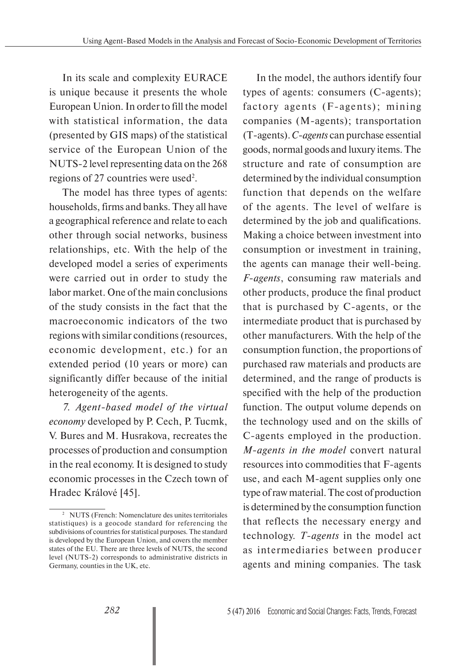In its scale and complexity EURACE is unique because it presents the whole European Union. In order to fill the model with statistical information, the data (presented by GIS maps) of the statistical service of the European Union of the NUTS-2 level representing data on the 268 regions of 27 countries were used<sup>2</sup>.

The model has three types of agents: households, firms and banks. They all have a geographical reference and relate to each other through social networks, business relationships, etc. With the help of the developed model a series of experiments were carried out in order to study the labor market. One of the main conclusions of the study consists in the fact that the macroeconomic indicators of the two regions with similar conditions (resources, economic development, etc.) for an extended period (10 years or more) can significantly differ because of the initial heterogeneity of the agents.

*7. Agent-based model of the virtual economy* developed by P. Cech, P. Tucmk, V. Bures and M. Husrakova, recreates the processes of production and consumption in the real economy. It is designed to study economic processes in the Czech town of Hradec Králové [45].

In the model, the authors identify four types of agents: consumers (C-agents); factory agents (F-agents); mining companies (M-agents); transportation (T-agents). *C-agents* can purchase essential goods, normal goods and luxury items. The structure and rate of consumption are determined by the individual consumption function that depends on the welfare of the agents. The level of welfare is determined by the job and qualifications. Making a choice between investment into consumption or investment in training, the agents can manage their well-being. *F-agents*, consuming raw materials and other products, produce the final product that is purchased by C-agents, or the intermediate product that is purchased by other manufacturers. With the help of the consumption function, the proportions of purchased raw materials and products are determined, and the range of products is specified with the help of the production function. The output volume depends on the technology used and on the skills of C-agents employed in the production. *M-agents in the model* convert natural resources into commodities that F-agents use, and each M-agent supplies only one type of raw material. The cost of production is determined by the consumption function that reflects the necessary energy and technology. *T-agents* in the model act as intermediaries between producer agents and mining companies. The task

<sup>2</sup> NUTS (French: Nomenclature des unites territoriales statistiques) is a geocode standard for referencing the subdivisions of countries for statistical purposes. The standard is developed by the European Union, and covers the member states of the EU. There are three levels of NUTS, the second level (NUTS-2) corresponds to administrative districts in Germany, counties in the UK, etc.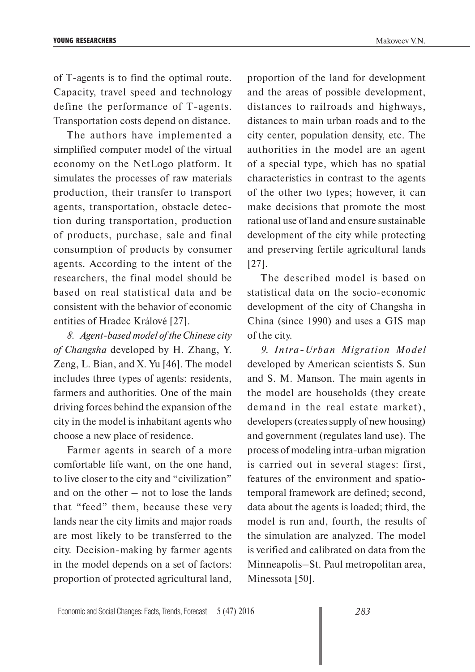of T-agents is to find the optimal route. Capacity, travel speed and technology define the performance of T-agents. Transportation costs depend on distance.

The authors have implemented a simplified computer model of the virtual economy on the NetLogo platform. It simulates the processes of raw materials production, their transfer to transport agents, transportation, obstacle detection during transportation, production of products, purchase, sale and final consumption of products by consumer agents. According to the intent of the researchers, the final model should be based on real statistical data and be consistent with the behavior of economic entities of Hradec Králové [27].

*8. Agent-based model of the Chinese city of Changsha* developed by H. Zhang, Y. Zeng, L. Bian, and X. Yu [46]. The model includes three types of agents: residents, farmers and authorities. One of the main driving forces behind the expansion of the city in the model is inhabitant agents who choose a new place of residence.

Farmer agents in search of a more comfortable life want, on the one hand, to live closer to the city and "civilization" and on the other – not to lose the lands that "feed" them, because these very lands near the city limits and major roads are most likely to be transferred to the city. Decision-making by farmer agents in the model depends on a set of factors: proportion of protected agricultural land,

proportion of the land for development and the areas of possible development, distances to railroads and highways, distances to main urban roads and to the city center, population density, etc. The authorities in the model are an agent of a special type, which has no spatial characteristics in contrast to the agents of the other two types; however, it can make decisions that promote the most rational use of land and ensure sustainable development of the city while protecting and preserving fertile agricultural lands [27].

The described model is based on statistical data on the socio-economic development of the city of Changsha in China (since 1990) and uses a GIS map of the city.

*9. Intra-Urban Migration Model*  developed by American scientists S. Sun and S. M. Manson. The main agents in the model are households (they create demand in the real estate market), developers (creates supply of new housing) and government (regulates land use). The process of modeling intra-urban migration is carried out in several stages: first, features of the environment and spatiotemporal framework are defined; second, data about the agents is loaded; third, the model is run and, fourth, the results of the simulation are analyzed. The model is verified and calibrated on data from the Minneapolis–St. Paul metropolitan area, Minessota [50].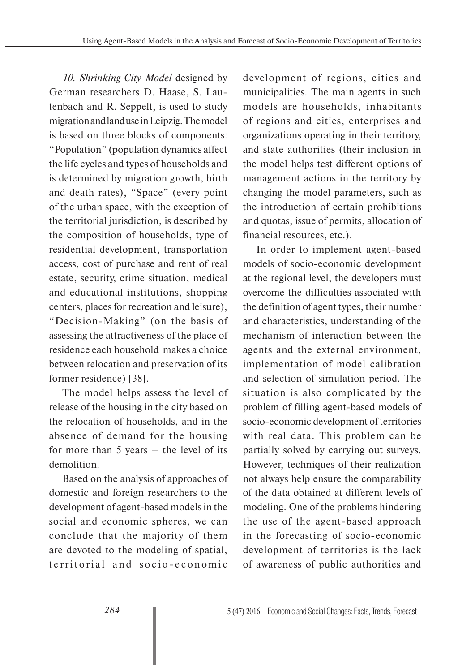*10. Shrinking City Model* designed by German researchers D. Haase, S. Lautenbach and R. Seppelt, is used to study migration and land use in Leipzig. The model is based on three blocks of components: "Population" (population dynamics affect the life cycles and types of households and is determined by migration growth, birth and death rates), "Space" (every point of the urban space, with the exception of the territorial jurisdiction, is described by the composition of households, type of residential development, transportation access, cost of purchase and rent of real estate, security, crime situation, medical and educational institutions, shopping centers, places for recreation and leisure), "Decision-Making" (on the basis of assessing the attractiveness of the place of residence each household makes a choice between relocation and preservation of its former residence) [38].

The model helps assess the level of release of the housing in the city based on the relocation of households, and in the absence of demand for the housing for more than 5 years – the level of its demolition.

Based on the analysis of approaches of domestic and foreign researchers to the development of agent-based models in the social and economic spheres, we can conclude that the majority of them are devoted to the modeling of spatial, territorial and socio-economic

development of regions, cities and municipalities. The main agents in such models are households, inhabitants of regions and cities, enterprises and organizations operating in their territory, and state authorities (their inclusion in the model helps test different options of management actions in the territory by changing the model parameters, such as the introduction of certain prohibitions and quotas, issue of permits, allocation of financial resources, etc.).

In order to implement agent-based models of socio-economic development at the regional level, the developers must overcome the difficulties associated with the definition of agent types, their number and characteristics, understanding of the mechanism of interaction between the agents and the external environment, implementation of model calibration and selection of simulation period. The situation is also complicated by the problem of filling agent-based models of socio-economic development of territories with real data. This problem can be partially solved by carrying out surveys. However, techniques of their realization not always help ensure the comparability of the data obtained at different levels of modeling. One of the problems hindering the use of the agent-based approach in the forecasting of socio-economic development of territories is the lack of awareness of public authorities and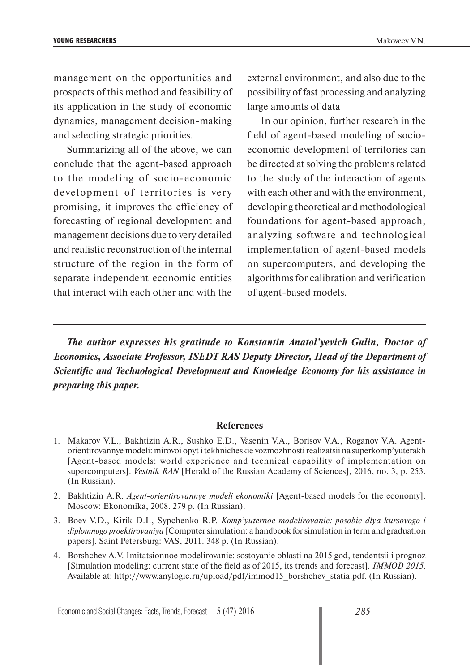management on the opportunities and prospects of this method and feasibility of its application in the study of economic dynamics, management decision-making and selecting strategic priorities.

Summarizing all of the above, we can conclude that the agent-based approach to the modeling of socio-economic development of territories is very promising, it improves the efficiency of forecasting of regional development and management decisions due to very detailed and realistic reconstruction of the internal structure of the region in the form of separate independent economic entities that interact with each other and with the

external environment, and also due to the possibility of fast processing and analyzing large amounts of data

In our opinion, further research in the field of agent-based modeling of socioeconomic development of territories can be directed at solving the problems related to the study of the interaction of agents with each other and with the environment, developing theoretical and methodological foundations for agent-based approach, analyzing software and technological implementation of agent-based models on supercomputers, and developing the algorithms for calibration and verification of agent-based models.

*The author expresses his gratitude to Konstantin Anatol'yevich Gulin, Doctor of Economics, Associate Professor, ISEDT RAS Deputy Director, Head of the Department of Scientific and Technological Development and Knowledge Economy for his assistance in preparing this paper.*

### **References**

- 1. Makarov V.L., Bakhtizin A.R., Sushko E.D., Vasenin V.A., Borisov V.A., Roganov V.A. Agentorientirovannye modeli: mirovoi opyt i tekhnicheskie vozmozhnosti realizatsii na superkomp'yuterakh [Agent-based models: world experience and technical capability of implementation on supercomputers]. *Vestnik RAN* [Herald of the Russian Academy of Sciences], 2016, no. 3, p. 253. (In Russian).
- 2. Bakhtizin A.R. *Agent-orientirovannye modeli ekonomiki* [Agent-based models for the economy]. Moscow: Ekonomika, 2008. 279 p. (In Russian).
- 3. Boev V.D., Kirik D.I., Sypchenko R.P. *Komp'yuternoe modelirovanie: posobie dlya kursovogo i diplomnogo proektirovaniya* [Computer simulation: a handbook for simulation in term and graduation papers]. Saint Petersburg: VAS, 2011. 348 p. (In Russian).
- 4. Borshchev A.V. Imitatsionnoe modelirovanie: sostoyanie oblasti na 2015 god, tendentsii i prognoz [Simulation modeling: current state of the field as of 2015, its trends and forecast]. *IMMOD 2015*. Available at: http://www.anylogic.ru/upload/pdf/immod15\_borshchev\_statia.pdf. (In Russian).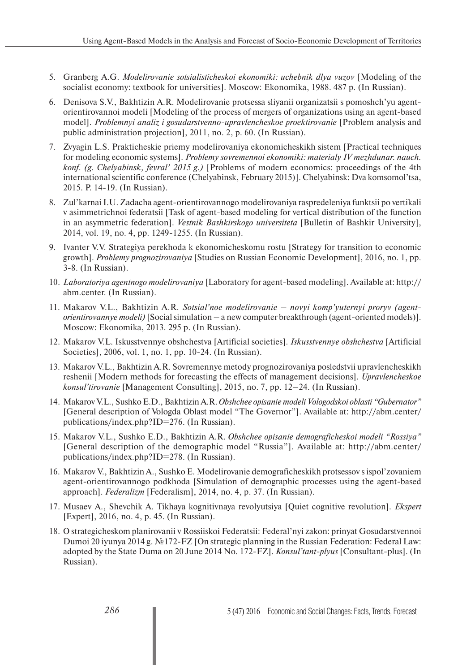- 5. Granberg A.G. *Modelirovanie sotsialisticheskoi ekonomiki: uchebnik dlya vuzov* [Modeling of the socialist economy: textbook for universities]. Moscow: Ekonomika, 1988. 487 p. (In Russian).
- 6. Denisova S.V., Bakhtizin A.R. Modelirovanie protsessa sliyanii organizatsii s pomoshch'yu agentorientirovannoi modeli [Modeling of the process of mergers of organizations using an agent-based model]. *Problemnyi analiz i gosudarstvenno-upravlencheskoe proektirovanie* [Problem analysis and public administration projection], 2011, no. 2, p. 60. (In Russian).
- 7. Zvyagin L.S. Prakticheskie priemy modelirovaniya ekonomicheskikh sistem [Practical techniques for modeling economic systems]. *Problemy sovremennoi ekonomiki: materialy IV mezhdunar. nauch. konf. (g. Chelyabinsk, fevral' 2015 g.)* [Problems of modern economics: proceedings of the 4th international scientific conference (Chelyabinsk, February 2015)]. Chelyabinsk: Dva komsomol'tsa, 2015. P. 14-19. (In Russian).
- 8. Zul'karnai I.U. Zadacha agent-orientirovannogo modelirovaniya raspredeleniya funktsii po vertikali v asimmetrichnoi federatsii [Task of agent-based modeling for vertical distribution of the function in an asymmetric federation]. *Vestnik Bashkirskogo universiteta* [Bulletin of Bashkir University], 2014, vol. 19, no. 4, pp. 1249-1255. (In Russian).
- 9. Ivanter V.V. Strategiya perekhoda k ekonomicheskomu rostu [Strategy for transition to economic growth]. *Problemy prognozirovaniya* [Studies on Russian Economic Development], 2016, no. 1, pp. 3-8. (In Russian).
- 10. *Laboratoriya agentnogo modelirovaniya* [Laboratory for agent-based modeling]. Available at: http:// abm.center. (In Russian).
- 11. Makarov V.L., Bakhtizin A.R. *Sotsial'noe modelirovanie novyi komp'yuternyi proryv (agentorientirovannye modeli)* [Social simulation – a new computer breakthrough (agent-oriented models)]. Moscow: Ekonomika, 2013. 295 p. (In Russian).
- 12. Makarov V.L. Iskusstvennye obshchestva [Artificial societies]. *Iskusstvennye obshchestva* [Artificial Societies], 2006, vol. 1, no. 1, pp. 10-24. (In Russian).
- 13. Makarov V.L., Bakhtizin A.R. Sovremennye metody prognozirovaniya posledstvii upravlencheskikh reshenii [Modern methods for forecasting the effects of management decisions]. *Upravlencheskoe konsul'tirovanie* [Management Consulting], 2015, no. 7, pp. 12–24. (In Russian).
- 14. Makarov V.L., Sushko E.D., Bakhtizin A.R. *Obshchee opisanie modeli Vologodskoi oblasti "Gubernator"* [General description of Vologda Oblast model "The Governor"]. Available at: http://abm.center/ publications/index.php?ID=276. (In Russian).
- 15. Makarov V.L., Sushko E.D., Bakhtizin A.R. *Obshchee opisanie demograficheskoi modeli "Rossiya"*  [General description of the demographic model "Russia"]. Available at: http://abm.center/ publications/index.php?ID=278. (In Russian).
- 16. Makarov V., Bakhtizin A., Sushko E. Modelirovanie demograficheskikh protsessov s ispol'zovaniem agent-orientirovannogo podkhoda [Simulation of demographic processes using the agent-based approach]. *Federalizm* [Federalism], 2014, no. 4, p. 37. (In Russian).
- 17. Musaev A., Shevchik A. Tikhaya kognitivnaya revolyutsiya [Quiet cognitive revolution]. *Ekspert* [Expert], 2016, no. 4, p. 45. (In Russian).
- 18. O strategicheskom planirovanii v Rossiiskoi Federatsii: Federal'nyi zakon: prinyat Gosudarstvennoi Dumoi 20 iyunya 2014 g. №172-FZ [On strategic planning in the Russian Federation: Federal Law: adopted by the State Duma on 20 June 2014 No. 172-FZ]. *Konsul'tant-plyus* [Consultant-plus]. (In Russian).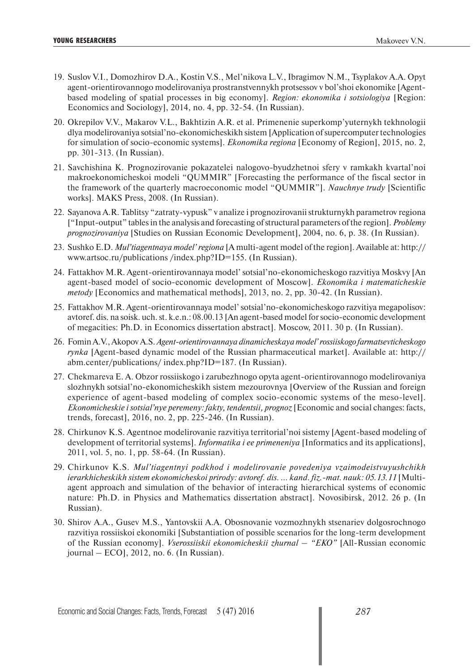- 19. Suslov V.I., Domozhirov D.A., Kostin V.S., Mel'nikova L.V., Ibragimov N.M., Tsyplakov A.A. Opyt agent-orientirovannogo modelirovaniya prostranstvennykh protsessov v bol'shoi ekonomike [Agentbased modeling of spatial processes in big economy]. *Region: ekonomika i sotsiologiya* [Region: Economics and Sociology], 2014, no. 4, pp. 32-54. (In Russian).
- 20. Okrepilov V.V., Makarov V.L., Bakhtizin A.R. et al. Primenenie superkomp'yuternykh tekhnologii dlya modelirovaniya sotsial'no-ekonomicheskikh sistem [Application of supercomputer technologies for simulation of socio-economic systems]. *Ekonomika regiona* [Economy of Region], 2015, no. 2, pp. 301-313. (In Russian).
- 21. Savchishina K. Prognozirovanie pokazatelei nalogovo-byudzhetnoi sfery v ramkakh kvartal'noi makroekonomicheskoi modeli "QUMMIR" [Forecasting the performance of the fiscal sector in the framework of the quarterly macroeconomic model "QUMMIR"]. *Nauchnye trudy* [Scientific works]. MAKS Press, 2008. (In Russian).
- 22. Sayanova A.R. Tablitsy "zatraty-vypusk" v analize i prognozirovanii strukturnykh parametrov regiona ["Input-output" tables in the analysis and forecasting of structural parameters of the region]. *Problemy prognozirovaniya* [Studies on Russian Economic Development], 2004, no. 6, p. 38. (In Russian).
- 23. Sushko E.D. *Mul'tiagentnaya model' regiona* [A multi-agent model of the region]. Available at: http:// www.artsoc.ru/publications /index.php?ID=155. (In Russian).
- 24. Fattakhov M.R. Agent-orientirovannaya model' sotsial'no-ekonomicheskogo razvitiya Moskvy [An agent-based model of socio-economic development of Moscow]. *Ekonomika i matematicheskie metody* [Economics and mathematical methods], 2013, no. 2, pp. 30-42. (In Russian).
- 25. Fattakhov M.R. Agent-orientirovannaya model' sotsial'no-ekonomicheskogo razvitiya megapolisov: avtoref. dis. na soisk. uch. st. k.e.n.: 08.00.13 [An agent-based model for socio-economic development of megacities: Ph.D. in Economics dissertation abstract]. Moscow, 2011. 30 p. (In Russian).
- 26. Fomin A.V., Akopov A.S. *Agent-orientirovannaya dinamicheskaya model' rossiiskogo farmatsevticheskogo rynka* [Agent-based dynamic model of the Russian pharmaceutical market]. Available at: http:// abm.center/publications/ index.php?ID=187. (In Russian).
- 27. Chekmareva E. A. Obzor rossiiskogo i zarubezhnogo opyta agent-orientirovannogo modelirovaniya slozhnykh sotsial'no-ekonomicheskikh sistem mezourovnya [Overview of the Russian and foreign experience of agent-based modeling of complex socio-economic systems of the meso-level]. *Ekonomicheskie i sotsial'nye peremeny: fakty, tendentsii, prognoz* [Economic and social changes: facts, trends, forecast], 2016, no. 2, pp. 225-246. (In Russian).
- 28. Chirkunov K.S. Agentnoe modelirovanie razvitiya territorial'noi sistemy [Agent-based modeling of development of territorial systems]. *Informatika i ee primeneniya* [Informatics and its applications], 2011, vol. 5, no. 1, pp. 58-64. (In Russian).
- 29. Chirkunov K.S. *Mul'tiagentnyi podkhod i modelirovanie povedeniya vzaimodeistvuyushchikh ierarkhicheskikh sistem ekonomicheskoi prirody: avtoref. dis. … kand. fiz.-mat. nauk: 05.13.11* [Multiagent approach and simulation of the behavior of interacting hierarchical systems of economic nature: Ph.D. in Physics and Mathematics dissertation abstract]. Novosibirsk, 2012. 26 p. (In Russian).
- 30. Shirov A.A., Gusev M.S., Yantovskii A.A. Obosnovanie vozmozhnykh stsenariev dolgosrochnogo razvitiya rossiiskoi ekonomiki [Substantiation of possible scenarios for the long-term development of the Russian economy]. *Vserossiiskii ekonomicheskii zhurnal – "EKO"* [All-Russian economic journal – ECO], 2012, no. 6. (In Russian).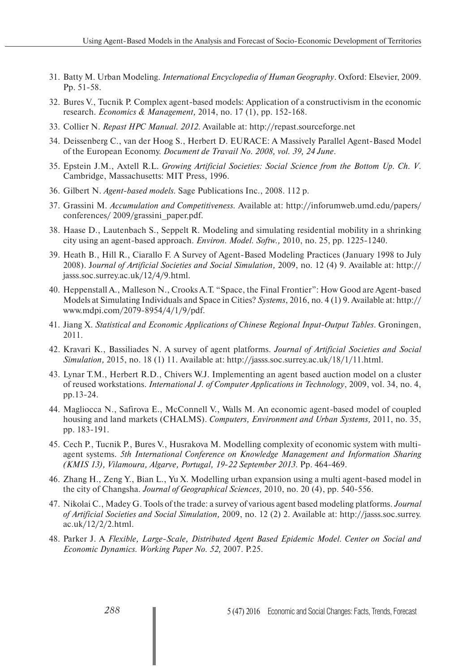- 31. Batty M. Urban Modeling. *International Encyclopedia of Human Geography*. Oxford: Elsevier, 2009. Pp. 51-58.
- 32. Bures V., Tucnik P. Complex agent-based models: Application of a constructivism in the economic research. *Economics & Management,* 2014, no. 17 (1), pp. 152-168.
- 33. Collier N. *Repast HPC Manual. 2012*. Available at: http://repast.sourceforge.net
- 34. Deissenberg C., van der Hoog S., Herbert D. EURACE: A Massively Parallel Agent-Based Model of the European Economy. *Document de Travail No. 2008, vol. 39, 24 June*.
- 35. Epstein J.M., Axtell R.L. *Growing Artificial Societies: Social Science from the Bottom Up. Ch. V*. Cambridge, Massachusetts: MIT Press, 1996.
- 36. Gilbert N. *Agent-based models.* Sage Publications Inc., 2008. 112 p.
- 37. Grassini M. *Accumulation and Competitiveness.* Available at: http://inforumweb.umd.edu/papers/ conferences/ 2009/grassini\_paper.pdf.
- 38. Haase D., Lautenbach S., Seppelt R. Modeling and simulating residential mobility in a shrinking city using an agent-based approach. *Environ. Model. Softw.,* 2010, no. 25, pp. 1225-1240.
- 39. Heath B., Hill R., Ciarallo F. A Survey of Agent-Based Modeling Practices (January 1998 to July 2008). J*ournal of Artificial Societies and Social Simulation,* 2009, no. 12 (4) 9. Available at: http:// jasss.soc.surrey.ac.uk/12/4/9.html.
- 40. Heppenstall A., Malleson N., Crooks A.T. "Space, the Final Frontier": How Good are Agent-based Models at Simulating Individuals and Space in Cities? *Systems*, 2016, no. 4 (1) 9. Available at: http:// www.mdpi.com/2079-8954/4/1/9/pdf.
- 41. Jiang Х. *Statistical and Economic Applications of Chinese Regional Input-Output Tables*. Groningen, 2011.
- 42. Kravari K., Bassiliades N. A survey of agent platforms. *Journal of Artificial Societies and Social Simulation,* 2015, no. 18 (1) 11. Available at: http://jasss.soc.surrey.ac.uk/18/1/11.html.
- 43. Lynar T.M., Herbert R.D., Chivers W.J. Implementing an agent based auction model on a cluster of reused workstations. *International J. of Computer Applications in Technology*, 2009, vol. 34, no. 4, рp.13-24.
- 44. Magliocca N., Safirova E., McConnell V., Walls M. An economic agent-based model of coupled housing and land markets (CHALMS). *Computers, Environment and Urban Systems,* 2011, no. 35, pp. 183-191.
- 45. Cech P., Tucnik P., Bures V., Husrakova M. Modelling complexity of economic system with multiagent systems. *5th International Conference on Knowledge Management and Information Sharing (KMIS 13), Vilamoura, Algarve, Portugal, 19-22 September 2013*. Pp. 464-469.
- 46. Zhang H., Zeng Y., Bian L., Yu X. Modelling urban expansion using a multi agent-based model in the city of Changsha. *Journal of Geographical Sciences,* 2010, no. 20 (4), pp. 540-556.
- 47. Nikolai C., Madey G. Tools of the trade: a survey of various agent based modeling platforms. *Journal of Artificial Societies and Social Simulation,* 2009, no. 12 (2) 2. Available at: http://jasss.soc.surrey. ac.uk/12/2/2.html.
- 48. Parker J. A *Flexible, Large-Scale, Distributed Agent Based Epidemic Model. Center on Social and Economic Dynamics. Working Paper No. 52,* 2007. P.25.